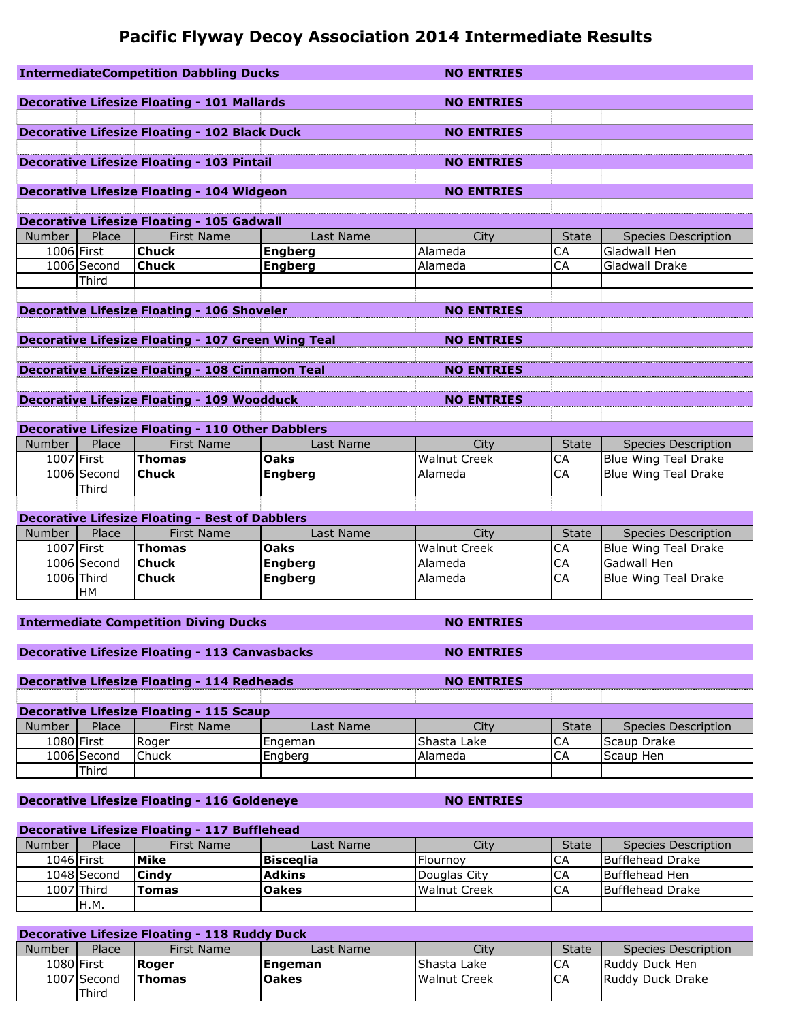# **Pacific Flyway Decoy Association 2014 Intermediate Results**

|               |               | <b>IntermediateCompetition Dabbling Ducks</b>             |                | <b>NO ENTRIES</b>   |              |                             |
|---------------|---------------|-----------------------------------------------------------|----------------|---------------------|--------------|-----------------------------|
|               |               |                                                           |                |                     |              |                             |
|               |               | <b>Decorative Lifesize Floating - 101 Mallards</b>        |                | <b>NO ENTRIES</b>   |              |                             |
|               |               | Decorative Lifesize Floating - 102 Black Duck             |                |                     |              |                             |
|               |               |                                                           |                | <b>NO ENTRIES</b>   |              |                             |
|               |               |                                                           |                |                     |              |                             |
|               |               | <b>Decorative Lifesize Floating - 103 Pintail</b>         |                | <b>NO ENTRIES</b>   |              |                             |
|               |               | <b>Decorative Lifesize Floating - 104 Widgeon</b>         |                | <b>NO ENTRIES</b>   |              |                             |
|               |               |                                                           |                |                     |              |                             |
|               |               | <b>Decorative Lifesize Floating - 105 Gadwall</b>         |                |                     |              |                             |
| Number        | Place         | <b>First Name</b>                                         | Last Name      | City                | <b>State</b> | <b>Species Description</b>  |
| 1006 First    |               | <b>Chuck</b>                                              | <b>Engberg</b> | Alameda             | CA           | Gladwall Hen                |
|               | $1006$ Second | <b>Chuck</b>                                              | <b>Engberg</b> | Alameda             | CA           | Gladwall Drake              |
|               | Third         |                                                           |                |                     |              |                             |
|               |               |                                                           |                |                     |              |                             |
|               |               | <b>Decorative Lifesize Floating - 106 Shoveler</b>        |                | <b>NO ENTRIES</b>   |              |                             |
|               |               |                                                           |                |                     |              |                             |
|               |               | <b>Decorative Lifesize Floating - 107 Green Wing Teal</b> |                | <b>NO ENTRIES</b>   |              |                             |
|               |               |                                                           |                |                     |              |                             |
|               |               | <b>Decorative Lifesize Floating - 108 Cinnamon Teal</b>   |                | <b>NO ENTRIES</b>   |              |                             |
|               |               |                                                           |                |                     |              |                             |
|               |               | <b>Decorative Lifesize Floating - 109 Woodduck</b>        |                | <b>NO ENTRIES</b>   |              |                             |
|               |               |                                                           |                |                     |              |                             |
|               |               | <b>Decorative Lifesize Floating - 110 Other Dabblers</b>  |                |                     |              |                             |
| <b>Number</b> | Place         | <b>First Name</b>                                         | Last Name      | City                | <b>State</b> | <b>Species Description</b>  |
| 1007 First    |               | <b>Thomas</b>                                             | Oaks           | <b>Walnut Creek</b> | CA           | <b>Blue Wing Teal Drake</b> |
|               | 1006 Second   | <b>Chuck</b>                                              | <b>Engberg</b> | Alameda             | CA           | Blue Wing Teal Drake        |
|               | Third         |                                                           |                |                     |              |                             |
|               |               |                                                           |                |                     |              |                             |
|               |               | <b>Decorative Lifesize Floating - Best of Dabblers</b>    |                |                     |              |                             |
| <b>Number</b> | Place         | <b>First Name</b>                                         | Last Name      | City                | <b>State</b> | <b>Species Description</b>  |
| 1007 First    |               | <b>Thomas</b>                                             | <b>Oaks</b>    | <b>Walnut Creek</b> | CA           | Blue Wing Teal Drake        |
|               | 1006 Second   | <b>Chuck</b>                                              | <b>Engberg</b> | Alameda             | CA           | Gadwall Hen                 |
|               | 1006 Third    | <b>Chuck</b>                                              | <b>Engberg</b> | Alameda             | CA           | <b>Blue Wing Teal Drake</b> |
|               | <b>HM</b>     |                                                           |                |                     |              |                             |
|               |               |                                                           |                |                     |              |                             |
|               |               | <b>Intermediate Competition Diving Ducks</b>              |                | <b>NO ENTRIES</b>   |              |                             |

```
Decorative Lifesize Floating - 113 Canvasbacks NO ENTRIES
```
## **Decorative Lifesize Floating - 114 Redheads NO ENTRIES**

|        | <b>Decorative Lifesize Floating - 115 Scaup</b> |            |           |             |       |                     |  |  |
|--------|-------------------------------------------------|------------|-----------|-------------|-------|---------------------|--|--|
| Number | Place                                           | First Name | Last Name |             | State | Species Description |  |  |
|        | 1080   First                                    | रेoger     | Engeman   | Shasta Lake | ◡┍    | <b>Scaup Drake</b>  |  |  |
|        | 1006 Second                                     | $C$ huck   | naberc    | Alameda     | ◡┍    | Scaup Hen           |  |  |
|        | Third                                           |            |           |             |       |                     |  |  |

## **Decorative Lifesize Floating - 116 Goldeneye NO ENTRIES**

# **Decorative Lifesize Floating - 117 Bufflehead**

| Number     | Place        | First Name | Last Name     | City         | <b>State</b> | Species Description |
|------------|--------------|------------|---------------|--------------|--------------|---------------------|
| 1046 First |              | Mike       | Biscealia     | Flournov     | CA           | Bufflehead Drake    |
|            | 1048 Second  | Cindy      | <b>Adkins</b> | Douglas City | CA           | Bufflehead Hen      |
|            | 1007   Third | Tomas      | <b>Oakes</b>  | Walnut Creek | CA           | Bufflehead Drake    |
|            | IH.M.        |            |               |              |              |                     |

## **Decorative Lifesize Floating - 118 Ruddy Duck**

| Number | Place        | First Name    | Last Name    | Citv               | <b>State</b> | Species Description |
|--------|--------------|---------------|--------------|--------------------|--------------|---------------------|
|        | 1080   First | Roger         | Engeman      | <b>Shasta Lake</b> | ◡            | Ruddy Duck Hen      |
|        | 1007 Second  | <b>Thomas</b> | <b>Oakes</b> | Walnut Creek       | ◡            | IRuddy Duck Drake   |
|        | Third        |               |              |                    |              |                     |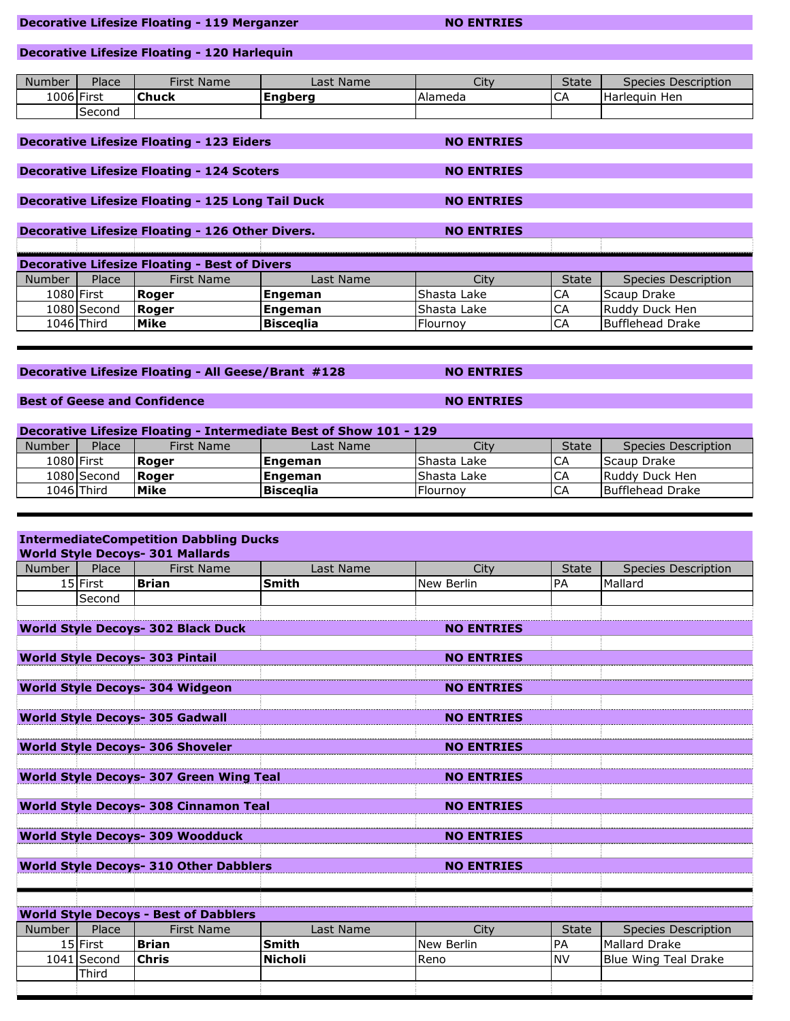### **Decorative Lifesize Floating - 119 Merganzer NO ENTRIES**

## **Decorative Lifesize Floating - 120 Harlequin**

| <b>Number</b> | Place  | Name<br>First i | Last Name      | Citv      | <b>State</b>  | Species Description |
|---------------|--------|-----------------|----------------|-----------|---------------|---------------------|
| 1006 First    |        | <b>Chuck</b>    | <b>Enabera</b> | l Alameda | $\sim$<br>-CA | Harleguin Hen       |
|               | Second |                 |                |           |               |                     |

## **Decorative Lifesize Floating - 123 Eiders NO ENTRIES**

### **Decorative Lifesize Floating - 124 Scoters NO ENTRIES**

### **Decorative Lifesize Floating - 125 Long Tail Duck MO ENTRIES**

|            |                                                      | Decorative Lifesize Floating - 126 Other Divers. |           | <b>NO ENTRIES</b> |              |                     |  |  |  |
|------------|------------------------------------------------------|--------------------------------------------------|-----------|-------------------|--------------|---------------------|--|--|--|
|            |                                                      |                                                  |           |                   |              |                     |  |  |  |
|            | <b>Decorative Lifesize Floating - Best of Divers</b> |                                                  |           |                   |              |                     |  |  |  |
| Number     | Place                                                | First Name                                       | Last Name | City              | <b>State</b> | Species Description |  |  |  |
| 1080 First |                                                      | <b>Roger</b>                                     | Engeman   | Shasta Lake       | СA           | <b>Scaup Drake</b>  |  |  |  |
|            | 1080 Second                                          | <b>Roger</b>                                     | Engeman   | Shasta Lake       | СA           | Ruddy Duck Hen      |  |  |  |
|            | 1046 Third                                           | Mike                                             | Biscealia | l Flournov        | CA           | Bufflehead Drake    |  |  |  |

## **Decorative Lifesize Floating - All Geese/Brant #128 NO ENTRIES**

## **Best of Geese and Confidence <b>NO ENTRIES NO ENTRIES**

| <b>Decorative Lifesize Floating - Intermediate Best of Show 101 - 129</b> |             |              |                 |              |              |                     |  |
|---------------------------------------------------------------------------|-------------|--------------|-----------------|--------------|--------------|---------------------|--|
| <b>Number</b>                                                             | Place       | First Name   | Last Name       | Citv         | <b>State</b> | Species Description |  |
|                                                                           | 1080 First  | <b>Roger</b> | <b>Engeman</b>  | lShasta Lake | l CA         | Scaup Drake         |  |
|                                                                           | 1080 Second | <b>Roger</b> | <b> Engeman</b> | Shasta Lake  | <b>CA</b>    | Ruddy Duck Hen      |  |
|                                                                           | 1046 Third  | Mike         | Biscealia       | Flournov     | <b>CA</b>    | Bufflehead Drake    |  |

## **IntermediateCompetition Dabbling Ducks**

|                                        | <b>World Style Decoys- 301 Mallards</b>      |                                                |                |                   |              |                            |  |  |
|----------------------------------------|----------------------------------------------|------------------------------------------------|----------------|-------------------|--------------|----------------------------|--|--|
| <b>Number</b>                          | Place                                        | <b>First Name</b>                              | Last Name      | City              | <b>State</b> | Species Description        |  |  |
|                                        | 15 First                                     | <b>Brian</b>                                   | <b>Smith</b>   | New Berlin        | PA           | Mallard                    |  |  |
|                                        | Second                                       |                                                |                |                   |              |                            |  |  |
|                                        |                                              |                                                |                |                   |              |                            |  |  |
|                                        |                                              | <b>World Style Decoys- 302 Black Duck</b>      |                | <b>NO ENTRIES</b> |              |                            |  |  |
|                                        |                                              |                                                |                |                   |              |                            |  |  |
|                                        |                                              | <b>World Style Decoys- 303 Pintail</b>         |                | <b>NO ENTRIES</b> |              |                            |  |  |
|                                        |                                              |                                                |                |                   |              |                            |  |  |
|                                        |                                              | <b>World Style Decoys- 304 Widgeon</b>         |                | <b>NO ENTRIES</b> |              |                            |  |  |
|                                        |                                              |                                                |                |                   |              |                            |  |  |
| <b>World Style Decoys- 305 Gadwall</b> |                                              |                                                |                | <b>NO ENTRIES</b> |              |                            |  |  |
|                                        |                                              |                                                |                |                   |              |                            |  |  |
|                                        |                                              | <b>World Style Decoys- 306 Shoveler</b>        |                | <b>NO ENTRIES</b> |              |                            |  |  |
|                                        |                                              |                                                |                |                   |              |                            |  |  |
|                                        |                                              | <b>World Style Decoys- 307 Green Wing Teal</b> |                | <b>NO ENTRIES</b> |              |                            |  |  |
|                                        |                                              |                                                |                |                   |              |                            |  |  |
|                                        |                                              | <b>World Style Decoys- 308 Cinnamon Teal</b>   |                | <b>NO ENTRIES</b> |              |                            |  |  |
|                                        |                                              |                                                |                |                   |              |                            |  |  |
|                                        |                                              | <b>World Style Decoys- 309 Woodduck</b>        |                | <b>NO ENTRIES</b> |              |                            |  |  |
|                                        |                                              |                                                |                |                   |              |                            |  |  |
|                                        |                                              | <b>World Style Decoys- 310 Other Dabblers</b>  |                | <b>NO ENTRIES</b> |              |                            |  |  |
|                                        |                                              |                                                |                |                   |              |                            |  |  |
|                                        |                                              |                                                |                |                   |              |                            |  |  |
|                                        | <b>World Style Decoys - Best of Dabblers</b> |                                                |                |                   |              |                            |  |  |
| <b>Number</b>                          | Place                                        | <b>First Name</b>                              | Last Name      | City              | <b>State</b> | <b>Species Description</b> |  |  |
|                                        | 15 First                                     | <b>Brian</b>                                   | Smith          | New Berlin        | PA           | Mallard Drake              |  |  |
|                                        | 1041 Second                                  | Chris                                          | <b>Nicholi</b> | Reno              | <b>NV</b>    | Blue Wing Teal Drake       |  |  |
|                                        | Third                                        |                                                |                |                   |              |                            |  |  |
|                                        |                                              |                                                |                |                   |              |                            |  |  |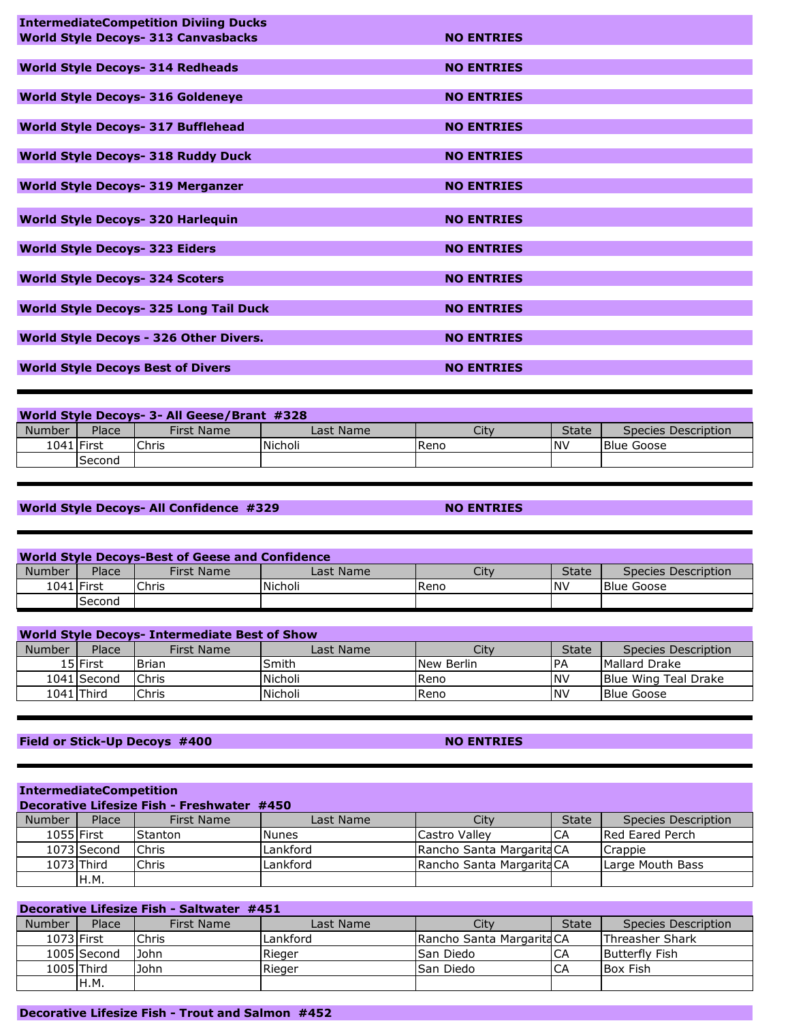| <b>IntermediateCompetition Diviing Ducks</b>  |                   |
|-----------------------------------------------|-------------------|
| <b>World Style Decoys- 313 Canvasbacks</b>    | <b>NO ENTRIES</b> |
|                                               |                   |
| <b>World Style Decoys- 314 Redheads</b>       | <b>NO ENTRIES</b> |
|                                               |                   |
| <b>World Style Decoys- 316 Goldeneye</b>      | <b>NO ENTRIES</b> |
|                                               |                   |
| <b>World Style Decoys- 317 Bufflehead</b>     | <b>NO ENTRIES</b> |
|                                               |                   |
| <b>World Style Decoys- 318 Ruddy Duck</b>     | <b>NO ENTRIES</b> |
|                                               |                   |
| <b>World Style Decoys- 319 Merganzer</b>      | <b>NO ENTRIES</b> |
|                                               |                   |
| <b>World Style Decoys- 320 Harlequin</b>      | <b>NO ENTRIES</b> |
|                                               |                   |
| <b>World Style Decoys- 323 Eiders</b>         | <b>NO ENTRIES</b> |
|                                               |                   |
| <b>World Style Decoys- 324 Scoters</b>        | <b>NO ENTRIES</b> |
|                                               |                   |
| <b>World Style Decoys- 325 Long Tail Duck</b> | <b>NO ENTRIES</b> |
|                                               |                   |
| World Style Decoys - 326 Other Divers.        | <b>NO ENTRIES</b> |
|                                               |                   |
| <b>World Style Decoys Best of Divers</b>      | <b>NO ENTRIES</b> |
|                                               |                   |

| World Style Decoys- 3- All Geese/Brant #328 |               |                   |           |      |              |                     |  |
|---------------------------------------------|---------------|-------------------|-----------|------|--------------|---------------------|--|
| Number                                      | Place         | <b>First Name</b> | Last Name | Citv | <b>State</b> | Species Description |  |
| 1041 First                                  |               | Chris             | Nicholi   | Reno | <b>NV</b>    | Blue Goose          |  |
|                                             | <b>Second</b> |                   |           |      |              |                     |  |

## **World Style Decoys- All Confidence #329 <b>NO ENTRIES**

| <b>World Style Decovs-Best of Geese and Confidence</b> |            |              |           |      |              |                     |  |
|--------------------------------------------------------|------------|--------------|-----------|------|--------------|---------------------|--|
| Number                                                 | Place      | First Name   | Last Name | Citv | <b>State</b> | Species Description |  |
|                                                        | 1041 First | <b>Chris</b> | Nicholi   | Reno | <b>NV</b>    | <b>Blue Goose</b>   |  |
|                                                        | Second     |              |           |      |              |                     |  |

| <b>World Style Decoys- Intermediate Best of Show</b> |              |              |           |            |            |                             |  |
|------------------------------------------------------|--------------|--------------|-----------|------------|------------|-----------------------------|--|
| Number                                               | Place        | First Name   | Last Name | Citv       | State      | Species Description         |  |
|                                                      | 15 First     | l Brian      | Smith     | New Berlin | PA         | Mallard Drake               |  |
|                                                      | 1041 Second  | <b>Chris</b> | Nicholi   | Reno       | <b>NV</b>  | <b>Blue Wing Teal Drake</b> |  |
|                                                      | 1041   Third | Chris        | Nicholi   | Reno       | <b>INV</b> | <b>Blue Goose</b>           |  |

# **Field or Stick-Up Decoys #400 NO ENTRIES**

| <b>IntermediateCompetition</b>             |             |              |              |                           |              |                     |  |  |
|--------------------------------------------|-------------|--------------|--------------|---------------------------|--------------|---------------------|--|--|
| Decorative Lifesize Fish - Freshwater #450 |             |              |              |                           |              |                     |  |  |
| Number                                     | Place       | First Name   | Last Name    | City                      | <b>State</b> | Species Description |  |  |
| 1055 First                                 |             | lStanton     | <b>Nunes</b> | Castro Valley             | <b>ICA</b>   | Red Eared Perch     |  |  |
|                                            | 1073 Second | <b>Chris</b> | Lankford     | Rancho Santa Margarita CA |              | Crappie             |  |  |
|                                            | 1073 Third  | Chris        | Lankford     | Rancho Santa Margarita CA |              | Large Mouth Bass    |  |  |
|                                            | H.M.        |              |              |                           |              |                     |  |  |

| Decorative Lifesize Fish - Saltwater #451 |              |            |           |                           |              |                        |  |  |
|-------------------------------------------|--------------|------------|-----------|---------------------------|--------------|------------------------|--|--|
| <b>Number</b>                             | Place        | First Name | Last Name | Citv                      | <b>State</b> | Species Description    |  |  |
|                                           | 1073 First   | Chris      | Lankford  | Rancho Santa Margarita CA |              | <b>Threasher Shark</b> |  |  |
|                                           | 1005 Second  | John       | Rieger    | lSan Diedo                | CA           | <b>Butterfly Fish</b>  |  |  |
|                                           | $1005$ Third | John       | Rieger    | lSan Diedo                | CA           | <b>Box Fish</b>        |  |  |
|                                           | H.M.         |            |           |                           |              |                        |  |  |

## **Decorative Lifesize Fish - Trout and Salmon #452**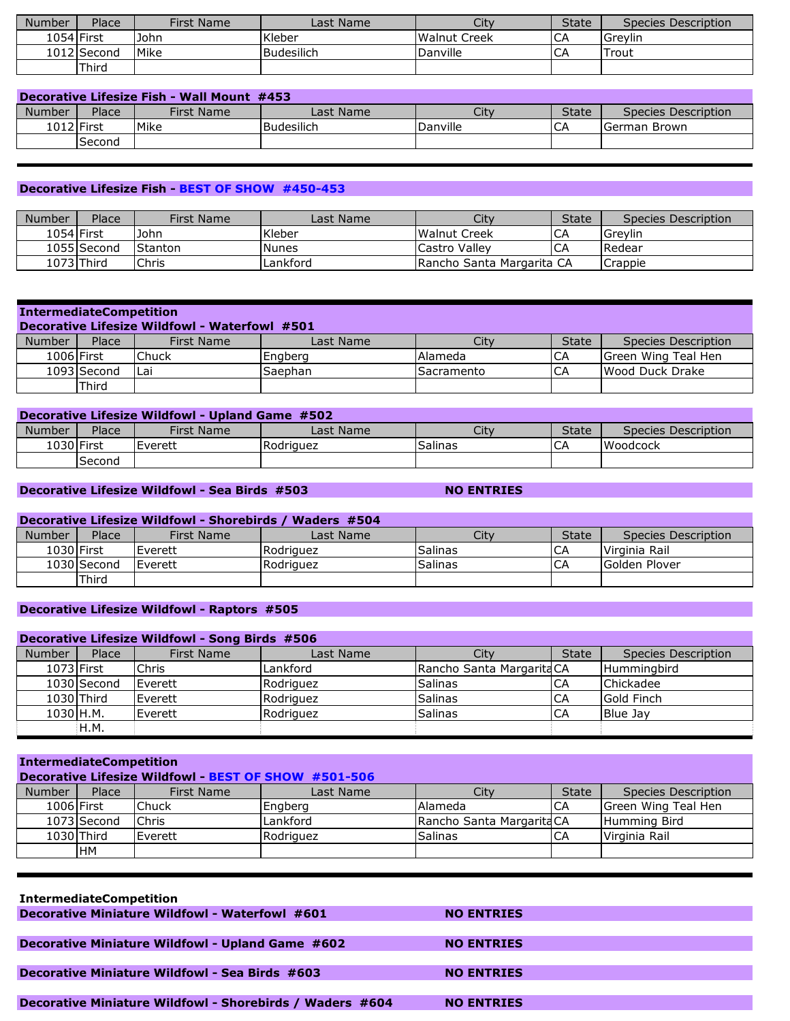| <b>Number</b> | Place       | <b>First Name</b> | Last Name    | City         | <b>State</b> | Species Description |
|---------------|-------------|-------------------|--------------|--------------|--------------|---------------------|
| 1054 First    |             | John              | Kleber       | Walnut Creek | ĆА           | Grevlin             |
|               | 1012 Second | Mike              | l Budesilich | Danville     | СA           | Trout               |
|               | Third       |                   |              |              |              |                     |

| Decorative Lifesize Fish - Wall Mount #453                                                |  |      |              |          |             |              |  |  |
|-------------------------------------------------------------------------------------------|--|------|--------------|----------|-------------|--------------|--|--|
| Number<br>Place<br>City<br><b>State</b><br>First Name<br>Last Name<br>Species Description |  |      |              |          |             |              |  |  |
| 1012 First                                                                                |  | Mike | l Budesilich | Danville | $\sim$<br>◡ | German Brown |  |  |
| Second                                                                                    |  |      |              |          |             |              |  |  |

### **Decorative Lifesize Fish - BEST OF SHOW #450-453**

| Number | Place       | <b>First Name</b> | Last Name    | City                      | <b>State</b> | Species Description |
|--------|-------------|-------------------|--------------|---------------------------|--------------|---------------------|
|        | 1054 First  | <b>John</b>       | Kleber       | Walnut Creek              | CA           | Grevlin             |
|        | 1055 Second | Stanton           | <b>Nunes</b> | Castro Vallev             | СA           | Redear              |
|        | 1073 Third  | Chris             | Lankford     | Rancho Santa Margarita CA |              | Crappie             |

| <b>IntermediateCompetition</b><br>Decorative Lifesize Wildfowl - Waterfowl #501 |             |              |           |                   |              |                     |
|---------------------------------------------------------------------------------|-------------|--------------|-----------|-------------------|--------------|---------------------|
| <b>Number</b>                                                                   | Place       | First Name   | Last Name | City              | <b>State</b> | Species Description |
|                                                                                 | 1006 First  | <b>Chuck</b> | Engberg   | <b>Alameda</b>    | ICA          | Green Wing Teal Hen |
|                                                                                 | 1093 Second | l Lai        | Saephan   | <b>Sacramento</b> | ICA          | Wood Duck Drake     |
|                                                                                 | Third       |              |           |                   |              |                     |

| <b>Decorative Lifesize Wildfowl - Upland Game #502</b>                                    |            |         |           |         |    |                 |  |  |
|-------------------------------------------------------------------------------------------|------------|---------|-----------|---------|----|-----------------|--|--|
| Place<br>Citv<br><b>State</b><br>Number<br>First Name<br>Last Name<br>Species Description |            |         |           |         |    |                 |  |  |
|                                                                                           | 1030 First | Everett | Rodriauez | Salinas | СA | <b>Woodcock</b> |  |  |
| <b>Second</b>                                                                             |            |         |           |         |    |                 |  |  |

## **Decorative Lifesize Wildfowl - Sea Birds #503 NO ENTRIES**

## **Decorative Lifesize Wildfowl - Shorebirds / Waders #504**

| <b>Number</b> | Place       | <b>First Name</b> | Last Name | Citv           | <b>State</b> | Species Description |
|---------------|-------------|-------------------|-----------|----------------|--------------|---------------------|
| 1030 First    |             | Everett           | Rodriguez | <b>Salinas</b> | СA           | Virginia Rail       |
|               | 1030 Second | Everett           | Rodriguez | <b>Salinas</b> | CΑ           | Golden Plover       |
|               | Third       |                   |           |                |              |                     |

## **Decorative Lifesize Wildfowl - Raptors #505**

| <b>Decorative Lifesize Wildfowl - Song Birds #506</b> |              |                  |           |                           |              |                     |  |  |
|-------------------------------------------------------|--------------|------------------|-----------|---------------------------|--------------|---------------------|--|--|
| Number                                                | Place        | First Name       | Last Name | City                      | <b>State</b> | Species Description |  |  |
| 1073 First                                            |              | <b>Chris</b>     | Lankford  | Rancho Santa Margarita CA |              | <b>Humminabird</b>  |  |  |
|                                                       | 1030 Second  | <b>I</b> Everett | Rodriguez | <b>Salinas</b>            | CA           | Chickadee           |  |  |
|                                                       | $1030$ Third | <b>I</b> Everett | Rodriguez | <b>Salinas</b>            | CA           | Gold Finch          |  |  |
| 1030 H.M.                                             |              | Everett          | Rodriguez | <b>Salinas</b>            | CA           | <b>Blue Jav</b>     |  |  |
|                                                       | H.M.         |                  |           |                           |              |                     |  |  |

## **IntermediateCompetition**

## **Decorative Lifesize Wildfowl - BEST OF SHOW #501-506**

| Number     | Place       | First Name      | Last Name | Citv                      | <b>State</b> | Species Description |
|------------|-------------|-----------------|-----------|---------------------------|--------------|---------------------|
| 1006 First |             | lChuck          | Engberg   | <b>Alameda</b>            | CA           | Green Wing Teal Hen |
|            | 1073 Second | <b>Chris</b>    | Lankford  | Rancho Santa Margarita CA |              | Humming Bird        |
|            | 1030 Third  | <b>IEverett</b> | Rodriguez | <b>Salinas</b>            | СA           | Virginia Rail       |
|            | <b>IHM</b>  |                 |           |                           |              |                     |

| <b>IntermediateCompetition</b>                           |                   |
|----------------------------------------------------------|-------------------|
| Decorative Miniature Wildfowl - Waterfowl #601           | <b>NO ENTRIES</b> |
|                                                          |                   |
| Decorative Miniature Wildfowl - Upland Game #602         | <b>NO ENTRIES</b> |
|                                                          |                   |
| <b>Decorative Miniature Wildfowl - Sea Birds #603</b>    | <b>NO ENTRIES</b> |
|                                                          |                   |
| Decorative Miniature Wildfowl - Shorebirds / Waders #604 | <b>NO ENTRIES</b> |
|                                                          |                   |